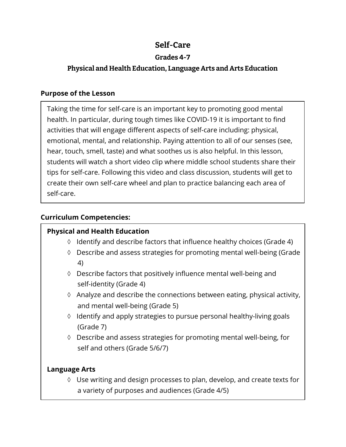# **Self-Care**

## **Grades 4-7**

## **Physical and Health Education, Language Arts and Arts Education**

### **Purpose of the Lesson**

Taking the time for self-care is an important key to promoting good mental health. In particular, during tough times like COVID-19 it is important to find activities that will engage different aspects of self-care including: physical, emotional, mental, and relationship. Paying attention to all of our senses (see, hear, touch, smell, taste) and what soothes us is also helpful. In this lesson, students will watch a short video clip where middle school students share their tips for self-care. Following this video and class discussion, students will get to create their own self-care wheel and plan to practice balancing each area of self-care.

## **Curriculum Competencies:**

## **Physical and Health Education**

- ◊ Identify and describe factors that influence healthy choices (Grade 4)
- ◊ Describe and assess strategies for promoting mental well-being (Grade 4)
- ◊ Describe factors that positively influence mental well-being and self-identity (Grade 4)
- ◊ Analyze and describe the connections between eating, physical activity, and mental well-being (Grade 5)
- ◊ Identify and apply strategies to pursue personal healthy-living goals (Grade 7)
- ◊ Describe and assess strategies for promoting mental well-being, for self and others (Grade 5/6/7)

## **Language Arts**

◊ Use writing and design processes to plan, develop, and create texts for a variety of purposes and audiences (Grade 4/5)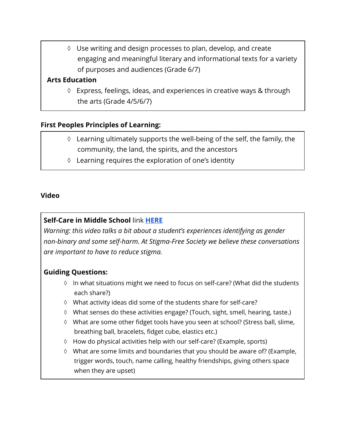◊ Use writing and design processes to plan, develop, and create engaging and meaningful literary and informational texts for a variety of purposes and audiences (Grade 6/7)

#### **Arts Education**

◊ Express, feelings, ideas, and experiences in creative ways & through the arts (Grade 4/5/6/7)

#### **First Peoples Principles of Learning:**

- ◊ Learning ultimately supports the well-being of the self, the family, the community, the land, the spirits, and the ancestors
- ◊ Learning requires the exploration of one's identity

#### **Video**

### **Self-Care in Middle School** link **[HERE](https://www.youtube.com/watch?v=KSXXYH4pWfs)**

*Warning: this video talks a bit about a student's experiences identifying as gender non-binary and some self-harm. At Stigma-Free Society we believe these conversations are important to have to reduce stigma.* 

#### **Guiding Questions:**

- ◊ In what situations might we need to focus on self-care? (What did the students each share?)
- ◊ What activity ideas did some of the students share for self-care?
- ◊ What senses do these activities engage? (Touch, sight, smell, hearing, taste.)
- ◊ What are some other fidget tools have you seen at school? (Stress ball, slime, breathing ball, bracelets, fidget cube, elastics etc.)
- ◊ How do physical activities help with our self-care? (Example, sports)
- ◊ What are some limits and boundaries that you should be aware of? (Example, trigger words, touch, name calling, healthy friendships, giving others space when they are upset)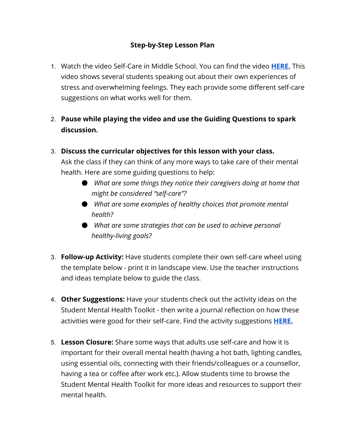### **Step-by-Step Lesson Plan**

- 1. Watch the video Self-Care in Middle School. You can find the video **[HERE.](https://www.youtube.com/watch?v=KSXXYH4pWfs)** This video shows several students speaking out about their own experiences of stress and overwhelming feelings. They each provide some different self-care suggestions on what works well for them.
- 2. **Pause while playing the video and use the Guiding Questions to spark discussion.**
- 3. **Discuss the curricular objectives for this lesson with your class.**

Ask the class if they can think of any more ways to take care of their mental health. Here are some guiding questions to help:

- *What are some things they notice their caregivers doing at home that might be considered "self-care"?*
- *What are some examples of healthy choices that promote mental health?*
- *What are some strategies that can be used to achieve personal healthy-living goals?*
- 3. **Follow-up Activity:** Have students complete their own self-care wheel using the template below - print it in landscape view. Use the teacher instructions and ideas template below to guide the class.
- 4. **Other Suggestions:** Have your students check out the activity ideas on the Student Mental Health Toolkit - then write a journal reflection on how these activities were good for their self-care. Find the activity suggestions **[HERE.](https://studentmentalhealthtoolkit.com/youth-corner/youth-activities/)**
- 5. **Lesson Closure:** Share some ways that adults use self-care and how it is important for their overall mental health (having a hot bath, lighting candles, using essential oils, connecting with their friends/colleagues or a counsellor, having a tea or coffee after work etc.). Allow students time to browse the Student Mental Health Toolkit for more ideas and resources to support their mental health.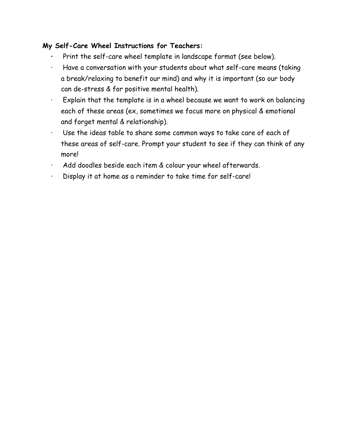### **My Self-Care Wheel Instructions for Teachers:**

- **·** Print the self-care wheel template in landscape format (see below).
- · Have a conversation with your students about what self-care means (taking a break/relaxing to benefit our mind) and why it is important (so our body can de-stress & for positive mental health).
- · Explain that the template is in a wheel because we want to work on balancing each of these areas (ex, sometimes we focus more on physical & emotional and forget mental & relationship).
- · Use the ideas table to share some common ways to take care of each of these areas of self-care. Prompt your student to see if they can think of any more!
- · Add doodles beside each item & colour your wheel afterwards.
- · Display it at home as a reminder to take time for self-care!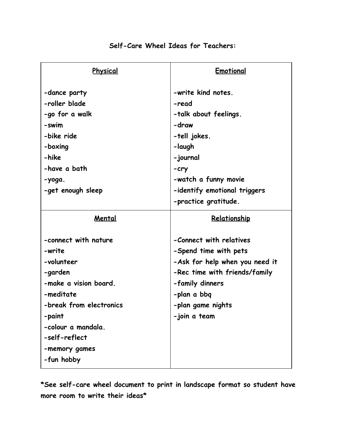| Physical                | Emotional                      |
|-------------------------|--------------------------------|
| -dance party            | -write kind notes.             |
| -roller blade           | -read                          |
| -go for a walk          | -talk about feelings.          |
| -swim                   | -draw                          |
| -bike ride              | -tell jokes.                   |
| -boxing                 | -laugh                         |
| -hike                   | -journal                       |
| -have a bath            | $-cry$                         |
| -yoga.                  | -watch a funny movie           |
| -get enough sleep       | -identify emotional triggers   |
|                         | -practice gratitude.           |
| <u>Mental</u>           | Relationship                   |
| -connect with nature    | -Connect with relatives        |
| -write                  | -Spend time with pets          |
| -volunteer              | -Ask for help when you need it |
| -garden                 | -Rec time with friends/family  |
| -make a vision board.   | -family dinners                |
| -meditate               | -plan a bbq                    |
| -break from electronics | -plan game nights              |
| -paint                  | -join a team                   |
| -colour a mandala.      |                                |
| -self-reflect           |                                |
| -memory games           |                                |
|                         |                                |
| -fun hobby              |                                |

### **Self-Care Wheel Ideas for Teachers:**

**\*See self-care wheel document to print in landscape format so student have more room to write their ideas\***